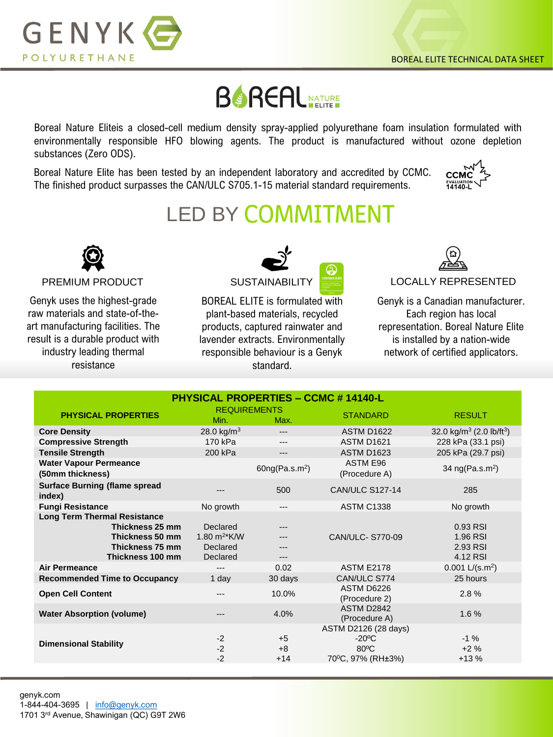

## **BOREAL**

Boreal Nature Eliteis a closed-cell medium density spray-applied polyurethane foam insulation formulated with environmentally responsible HFO blowing agents. The product is manufactured without ozone depletion substances (Zero ODS).

Boreal Nature Elite has been tested by an independent laboratory and accredited by CCMC. The finished product surpasses the CAN/ULC S705.1-15 material standard requirements.



## **LED BY COMMITMENT**



Genyk uses the highest-grade raw materials and state-of-theart manufacturing facilities. The result is a durable product with industry leading thermal resistance



BOREAL ELITE is formulated with plant-based materials, recycled products, captured rainwater and lavender extracts. Environmentally responsible behaviour is a Genyk standard.



Genyk is a Canadian manufacturer. Each region has local representation. Boreal Nature Elite is installed by a nation-wide network of certified applicators.

| <b>PHYSICAL PROPERTIES - CCMC # 14140-L</b>                                                                      |                                                                 |                            |                                                                                |                                                  |  |  |
|------------------------------------------------------------------------------------------------------------------|-----------------------------------------------------------------|----------------------------|--------------------------------------------------------------------------------|--------------------------------------------------|--|--|
| <b>PHYSICAL PROPERTIES</b>                                                                                       | <b>REQUIREMENTS</b><br>Min.                                     | Max.                       | <b>STANDARD</b>                                                                | <b>RESULT</b>                                    |  |  |
| <b>Core Density</b>                                                                                              | 28.0 kg/ $m3$                                                   |                            | <b>ASTM D1622</b>                                                              | 32.0 kg/m <sup>3</sup> (2.0 lb/ft <sup>3</sup> ) |  |  |
| <b>Compressive Strength</b>                                                                                      | 170 kPa                                                         | ---                        | <b>ASTM D1621</b>                                                              | 228 kPa (33.1 psi)                               |  |  |
| <b>Tensile Strength</b>                                                                                          | 200 kPa                                                         | ---                        | <b>ASTM D1623</b>                                                              | 205 kPa (29.7 psi)                               |  |  |
| <b>Water Vapour Permeance</b><br>(50mm thickness)                                                                |                                                                 | 60ng(Pa.s.m <sup>2</sup> ) | <b>ASTM E96</b><br>(Procedure A)                                               | 34 $ng(Pa.s.m2)$                                 |  |  |
| <b>Surface Burning (flame spread</b><br>index)                                                                   | ---                                                             | 500                        | <b>CAN/ULC S127-14</b>                                                         | 285                                              |  |  |
| <b>Fungi Resistance</b>                                                                                          | No growth                                                       | ---                        | <b>ASTM C1338</b>                                                              | No growth                                        |  |  |
| <b>Long Term Thermal Resistance</b><br>Thickness 25 mm<br>Thickness 50 mm<br>Thickness 75 mm<br>Thickness 100 mm | Declared<br>1.80 $m^2$ <sup>*</sup> K/W<br>Declared<br>Declared | ---                        | CAN/ULC- S770-09                                                               | 0.93 RSI<br>1.96 RSI<br>2.93 RSI<br>4.12 RSI     |  |  |
| <b>Air Permeance</b>                                                                                             | ---                                                             | 0.02                       | <b>ASTM E2178</b>                                                              | $0.001$ L/(s.m <sup>2</sup> )                    |  |  |
| <b>Recommended Time to Occupancy</b>                                                                             | 1 day                                                           | 30 days                    | CAN/ULC S774                                                                   | 25 hours                                         |  |  |
| <b>Open Cell Content</b>                                                                                         | $- - -$                                                         | 10.0%                      | ASTM D6226<br>(Procedure 2)                                                    | 2.8%                                             |  |  |
| <b>Water Absorption (volume)</b>                                                                                 | ---                                                             | 4.0%                       | ASTM D2842<br>(Procedure A)                                                    | 1.6%                                             |  |  |
| <b>Dimensional Stability</b>                                                                                     | $-2$<br>$-2$<br>$-2$                                            | $+5$<br>$+8$<br>$+14$      | ASTM D2126 (28 days)<br>$-20^{\circ}$ C<br>$80^{\circ}$ C<br>70°C, 97% (RH±3%) | $-1\%$<br>$+2%$<br>$+13%$                        |  |  |